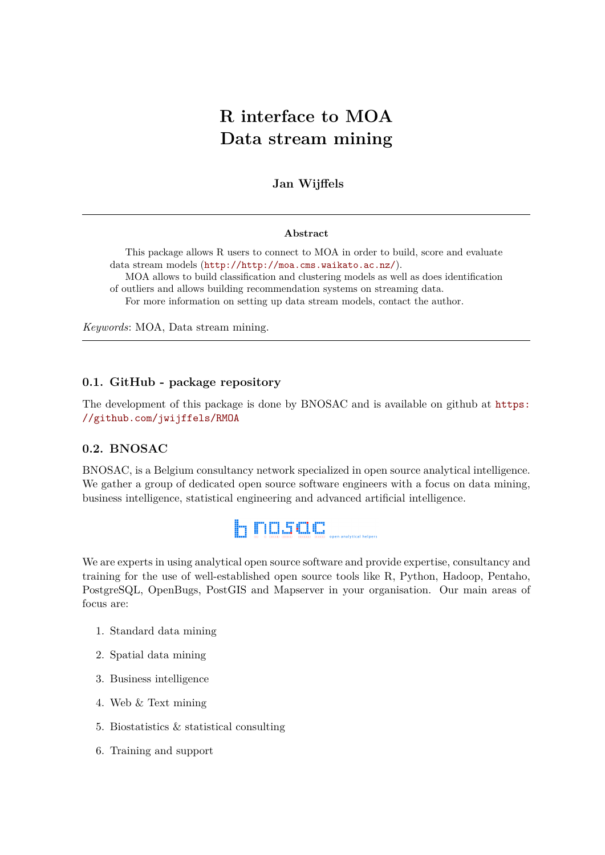# **R interface to MOA Data stream mining**

## **Jan Wijffels**

#### **Abstract**

This package allows R users to connect to MOA in order to build, score and evaluate data stream models (<http://http://moa.cms.waikato.ac.nz/>). MOA allows to build classification and clustering models as well as does identification

of outliers and allows building recommendation systems on streaming data.

For more information on setting up data stream models, contact the author.

*Keywords*: MOA, Data stream mining.

### **0.1. GitHub - package repository**

The development of this package is done by BNOSAC and is available on github at [https:](https://github.com/jwijffels/RMOA) [//github.com/jwijffels/RMOA](https://github.com/jwijffels/RMOA)

### **0.2. BNOSAC**

BNOSAC, is a Belgium consultancy network specialized in open source analytical intelligence. We gather a group of dedicated open source software engineers with a focus on data mining, business intelligence, statistical engineering and advanced artificial intelligence.



We are experts in using analytical open source software and provide expertise, consultancy and training for the use of well-established open source tools like R, Python, Hadoop, Pentaho, PostgreSQL, OpenBugs, PostGIS and Mapserver in your organisation. Our main areas of focus are:

- 1. Standard data mining
- 2. Spatial data mining
- 3. Business intelligence
- 4. Web & Text mining
- 5. Biostatistics & statistical consulting
- 6. Training and support